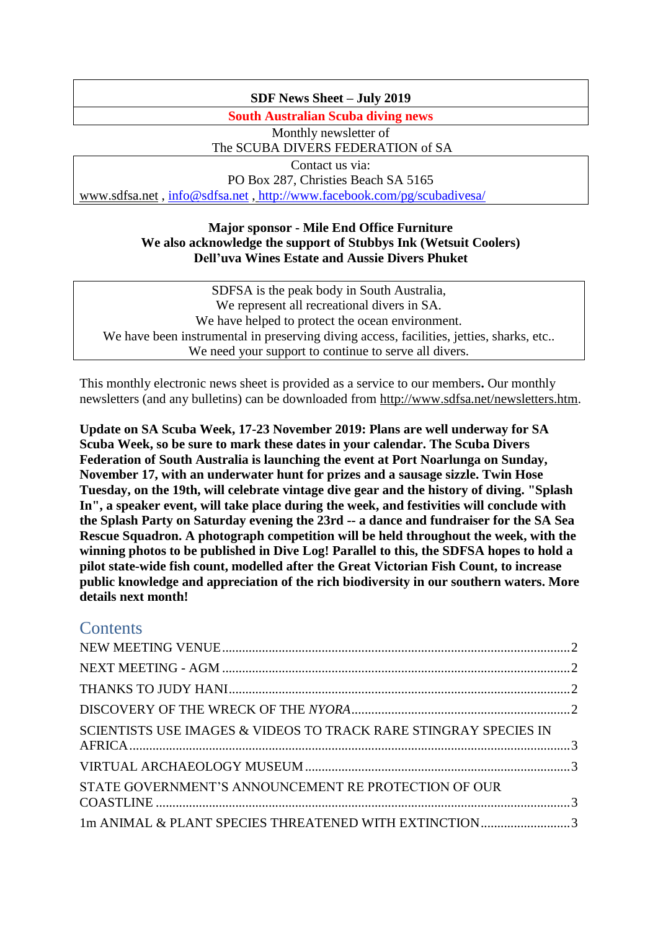### **SDF News Sheet – July 2019**

**South Australian Scuba diving news**

Monthly newsletter of The SCUBA DIVERS FEDERATION of SA Contact us via: PO Box 287, Christies Beach SA 5165

[www.sdfsa.net](http://www.sdfsa.net/) , [info@sdfsa.net](mailto:info@sdfsa.net) , <http://www.facebook.com/pg/scubadivesa/>

### **Major sponsor - Mile End Office Furniture We also acknowledge the support of Stubbys Ink (Wetsuit Coolers) Dell'uva Wines Estate and Aussie Divers Phuket**

SDFSA is the peak body in South Australia, We represent all recreational divers in SA. We have helped to protect the ocean environment. We have been instrumental in preserving diving access, facilities, jetties, sharks, etc.. We need your support to continue to serve all divers.

This monthly electronic news sheet is provided as a service to our members**.** Our monthly newsletters (and any bulletins) can be downloaded from [http://www.sdfsa.net/newsletters.htm.](http://www.sdfsa.net/newsletters.htm)

**Update on SA Scuba Week, 17-23 November 2019: Plans are well underway for SA Scuba Week, so be sure to mark these dates in your calendar. The Scuba Divers Federation of South Australia is launching the event at Port Noarlunga on Sunday, November 17, with an underwater hunt for prizes and a sausage sizzle. Twin Hose Tuesday, on the 19th, will celebrate vintage dive gear and the history of diving. "Splash In", a speaker event, will take place during the week, and festivities will conclude with the Splash Party on Saturday evening the 23rd -- a dance and fundraiser for the SA Sea Rescue Squadron. A photograph competition will be held throughout the week, with the winning photos to be published in Dive Log! Parallel to this, the SDFSA hopes to hold a pilot state-wide fish count, modelled after the Great Victorian Fish Count, to increase public knowledge and appreciation of the rich biodiversity in our southern waters. More details next month!**

# **Contents**

| SCIENTISTS USE IMAGES & VIDEOS TO TRACK RARE STINGRAY SPECIES IN |  |
|------------------------------------------------------------------|--|
|                                                                  |  |
| STATE GOVERNMENT'S ANNOUNCEMENT RE PROTECTION OF OUR             |  |
| 1m ANIMAL & PLANT SPECIES THREATENED WITH EXTINCTION3            |  |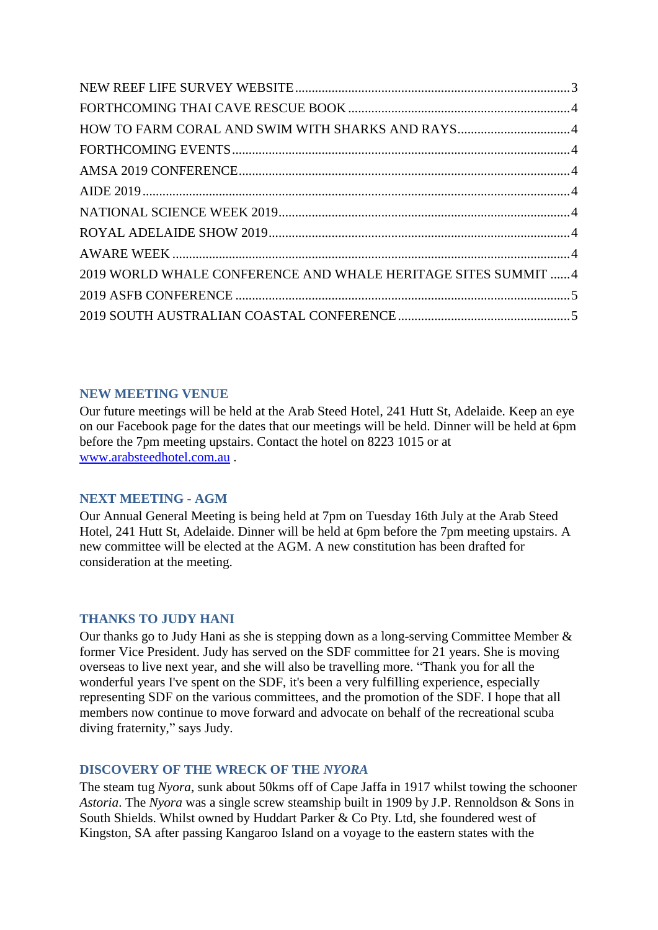| HOW TO FARM CORAL AND SWIM WITH SHARKS AND RAYS4              |  |
|---------------------------------------------------------------|--|
|                                                               |  |
|                                                               |  |
|                                                               |  |
|                                                               |  |
|                                                               |  |
|                                                               |  |
| 2019 WORLD WHALE CONFERENCE AND WHALE HERITAGE SITES SUMMIT 4 |  |
|                                                               |  |
|                                                               |  |

# <span id="page-1-0"></span>**NEW MEETING VENUE**

Our future meetings will be held at the Arab Steed Hotel, 241 Hutt St, Adelaide. Keep an eye on our Facebook page for the dates that our meetings will be held. Dinner will be held at 6pm before the 7pm meeting upstairs. Contact the hotel on 8223 1015 or at [www.arabsteedhotel.com.au](http://www.arabsteedhotel.com.au/) .

### <span id="page-1-1"></span>**NEXT MEETING - AGM**

Our Annual General Meeting is being held at 7pm on Tuesday 16th July at the Arab Steed Hotel, 241 Hutt St, Adelaide. Dinner will be held at 6pm before the 7pm meeting upstairs. A new committee will be elected at the AGM. A new constitution has been drafted for consideration at the meeting.

# <span id="page-1-2"></span>**THANKS TO JUDY HANI**

Our thanks go to Judy Hani as she is stepping down as a long-serving Committee Member & former Vice President. Judy has served on the SDF committee for 21 years. She is moving overseas to live next year, and she will also be travelling more. "Thank you for all the wonderful years I've spent on the SDF, it's been a very fulfilling experience, especially representing SDF on the various committees, and the promotion of the SDF. I hope that all members now continue to move forward and advocate on behalf of the recreational scuba diving fraternity," says Judy.

# <span id="page-1-3"></span>**DISCOVERY OF THE WRECK OF THE** *NYORA*

The steam tug *Nyora*, sunk about 50kms off of Cape Jaffa in 1917 whilst towing the schooner *Astoria*. The *Nyora* was a single screw steamship built in 1909 by J.P. Rennoldson & Sons in South Shields. Whilst owned by Huddart Parker & Co Pty. Ltd, she foundered west of Kingston, SA after passing Kangaroo Island on a voyage to the eastern states with the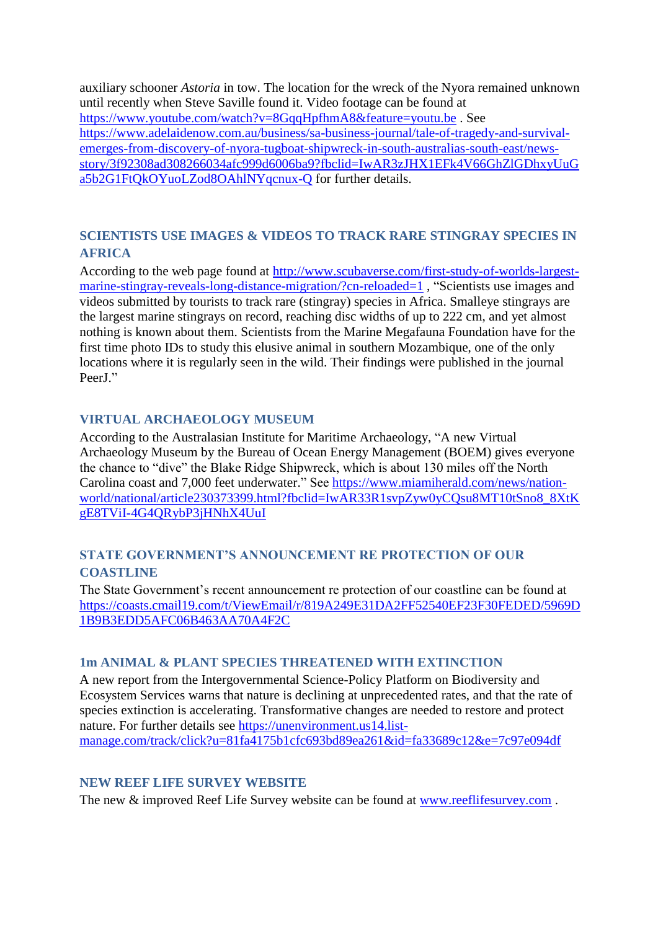auxiliary schooner *Astoria* in tow. The location for the wreck of the Nyora remained unknown until recently when Steve Saville found it. Video footage can be found at <https://www.youtube.com/watch?v=8GqqHpfhmA8&feature=youtu.be> . See [https://www.adelaidenow.com.au/business/sa-business-journal/tale-of-tragedy-and-survival](https://www.adelaidenow.com.au/business/sa-business-journal/tale-of-tragedy-and-survival-emerges-from-discovery-of-nyora-tugboat-shipwreck-in-south-australias-south-east/news-story/3f92308ad308266034afc999d6006ba9?fbclid=IwAR3zJHX1EFk4V66GhZlGDhxyUuGa5b2G1FtQkOYuoLZod8OAhlNYqcnux-Q)[emerges-from-discovery-of-nyora-tugboat-shipwreck-in-south-australias-south-east/news](https://www.adelaidenow.com.au/business/sa-business-journal/tale-of-tragedy-and-survival-emerges-from-discovery-of-nyora-tugboat-shipwreck-in-south-australias-south-east/news-story/3f92308ad308266034afc999d6006ba9?fbclid=IwAR3zJHX1EFk4V66GhZlGDhxyUuGa5b2G1FtQkOYuoLZod8OAhlNYqcnux-Q)[story/3f92308ad308266034afc999d6006ba9?fbclid=IwAR3zJHX1EFk4V66GhZlGDhxyUuG](https://www.adelaidenow.com.au/business/sa-business-journal/tale-of-tragedy-and-survival-emerges-from-discovery-of-nyora-tugboat-shipwreck-in-south-australias-south-east/news-story/3f92308ad308266034afc999d6006ba9?fbclid=IwAR3zJHX1EFk4V66GhZlGDhxyUuGa5b2G1FtQkOYuoLZod8OAhlNYqcnux-Q) [a5b2G1FtQkOYuoLZod8OAhlNYqcnux-Q](https://www.adelaidenow.com.au/business/sa-business-journal/tale-of-tragedy-and-survival-emerges-from-discovery-of-nyora-tugboat-shipwreck-in-south-australias-south-east/news-story/3f92308ad308266034afc999d6006ba9?fbclid=IwAR3zJHX1EFk4V66GhZlGDhxyUuGa5b2G1FtQkOYuoLZod8OAhlNYqcnux-Q) for further details.

# <span id="page-2-0"></span>**SCIENTISTS USE IMAGES & VIDEOS TO TRACK RARE STINGRAY SPECIES IN AFRICA**

According to the web page found at [http://www.scubaverse.com/first-study-of-worlds-largest](http://www.scubaverse.com/first-study-of-worlds-largest-marine-stingray-reveals-long-distance-migration/?cn-reloaded=1)[marine-stingray-reveals-long-distance-migration/?cn-reloaded=1](http://www.scubaverse.com/first-study-of-worlds-largest-marine-stingray-reveals-long-distance-migration/?cn-reloaded=1) , "Scientists use images and videos submitted by tourists to track rare (stingray) species in Africa. Smalleye stingrays are the largest marine stingrays on record, reaching disc widths of up to 222 cm, and yet almost nothing is known about them. Scientists from the Marine Megafauna Foundation have for the first time photo IDs to study this elusive animal in southern Mozambique, one of the only locations where it is regularly seen in the wild. Their findings were published in the journal PeerJ."

# <span id="page-2-1"></span>**VIRTUAL ARCHAEOLOGY MUSEUM**

According to the Australasian Institute for Maritime Archaeology, "A new Virtual Archaeology Museum by the Bureau of Ocean Energy Management (BOEM) gives everyone the chance to "dive" the Blake Ridge Shipwreck, which is about 130 miles off the North Carolina coast and 7,000 feet underwater." See [https://www.miamiherald.com/news/nation](https://www.miamiherald.com/news/nation-world/national/article230373399.html?fbclid=IwAR33R1svpZyw0yCQsu8MT10tSno8_8XtKgE8TViI-4G4QRybP3jHNhX4UuI)[world/national/article230373399.html?fbclid=IwAR33R1svpZyw0yCQsu8MT10tSno8\\_8XtK](https://www.miamiherald.com/news/nation-world/national/article230373399.html?fbclid=IwAR33R1svpZyw0yCQsu8MT10tSno8_8XtKgE8TViI-4G4QRybP3jHNhX4UuI) [gE8TViI-4G4QRybP3jHNhX4UuI](https://www.miamiherald.com/news/nation-world/national/article230373399.html?fbclid=IwAR33R1svpZyw0yCQsu8MT10tSno8_8XtKgE8TViI-4G4QRybP3jHNhX4UuI)

# <span id="page-2-2"></span>**STATE GOVERNMENT'S ANNOUNCEMENT RE PROTECTION OF OUR COASTLINE**

The State Government's recent announcement re protection of our coastline can be found at [https://coasts.cmail19.com/t/ViewEmail/r/819A249E31DA2FF52540EF23F30FEDED/5969D](https://coasts.cmail19.com/t/ViewEmail/r/819A249E31DA2FF52540EF23F30FEDED/5969D1B9B3EDD5AFC06B463AA70A4F2C) [1B9B3EDD5AFC06B463AA70A4F2C](https://coasts.cmail19.com/t/ViewEmail/r/819A249E31DA2FF52540EF23F30FEDED/5969D1B9B3EDD5AFC06B463AA70A4F2C)

### <span id="page-2-3"></span>**1m ANIMAL & PLANT SPECIES THREATENED WITH EXTINCTION**

A new report from the Intergovernmental Science-Policy Platform on Biodiversity and Ecosystem Services warns that nature is declining at unprecedented rates, and that the rate of species extinction is accelerating. Transformative changes are needed to restore and protect nature. For further details see [https://unenvironment.us14.list](https://unenvironment.us14.list-manage.com/track/click?u=81fa4175b1cfc693bd89ea261&id=fa33689c12&e=7c97e094df)[manage.com/track/click?u=81fa4175b1cfc693bd89ea261&id=fa33689c12&e=7c97e094df](https://unenvironment.us14.list-manage.com/track/click?u=81fa4175b1cfc693bd89ea261&id=fa33689c12&e=7c97e094df)

### <span id="page-2-4"></span>**NEW REEF LIFE SURVEY WEBSITE**

The new & improved Reef Life Survey website can be found at [www.reeflifesurvey.com](http://www.reeflifesurvey.com/) .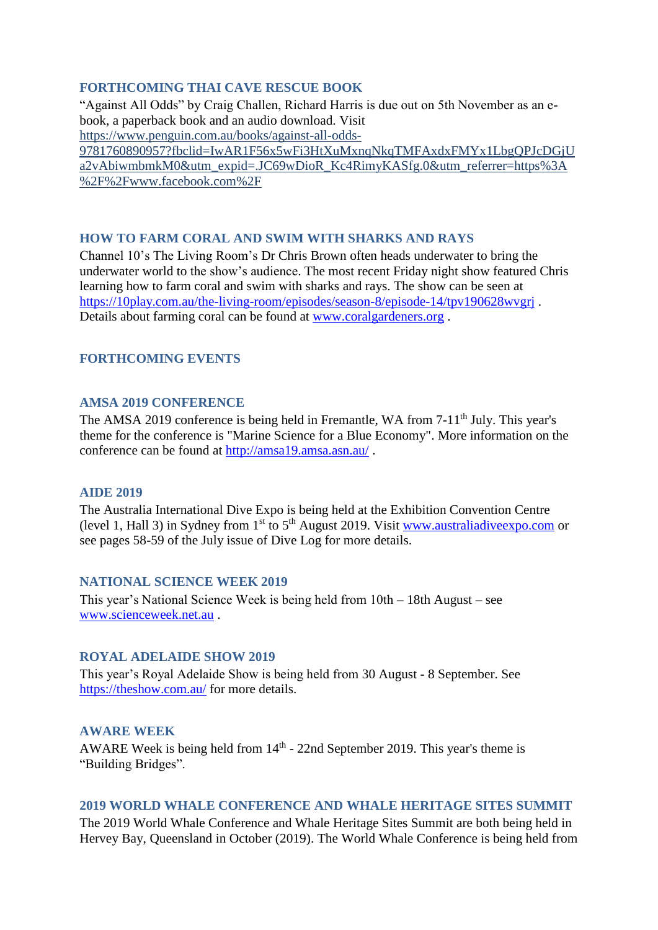### <span id="page-3-0"></span>**FORTHCOMING THAI CAVE RESCUE BOOK**

"Against All Odds" by Craig Challen, Richard Harris is due out on 5th November as an ebook, a paperback book and an audio download. Visit [https://www.penguin.com.au/books/against-all-odds-](https://www.penguin.com.au/books/against-all-odds-9781760890957?fbclid=IwAR1F56x5wFi3HtXuMxnqNkqTMFAxdxFMYx1LbgQPJcDGjUa2vAbiwmbmkM0&utm_expid=.JC69wDioR_Kc4RimyKASfg.0&utm_referrer=https%3A%2F%2Fwww.facebook.com%2F)

[9781760890957?fbclid=IwAR1F56x5wFi3HtXuMxnqNkqTMFAxdxFMYx1LbgQPJcDGjU](https://www.penguin.com.au/books/against-all-odds-9781760890957?fbclid=IwAR1F56x5wFi3HtXuMxnqNkqTMFAxdxFMYx1LbgQPJcDGjUa2vAbiwmbmkM0&utm_expid=.JC69wDioR_Kc4RimyKASfg.0&utm_referrer=https%3A%2F%2Fwww.facebook.com%2F) [a2vAbiwmbmkM0&utm\\_expid=.JC69wDioR\\_Kc4RimyKASfg.0&utm\\_referrer=https%3A](https://www.penguin.com.au/books/against-all-odds-9781760890957?fbclid=IwAR1F56x5wFi3HtXuMxnqNkqTMFAxdxFMYx1LbgQPJcDGjUa2vAbiwmbmkM0&utm_expid=.JC69wDioR_Kc4RimyKASfg.0&utm_referrer=https%3A%2F%2Fwww.facebook.com%2F) [%2F%2Fwww.facebook.com%2F](https://www.penguin.com.au/books/against-all-odds-9781760890957?fbclid=IwAR1F56x5wFi3HtXuMxnqNkqTMFAxdxFMYx1LbgQPJcDGjUa2vAbiwmbmkM0&utm_expid=.JC69wDioR_Kc4RimyKASfg.0&utm_referrer=https%3A%2F%2Fwww.facebook.com%2F)

#### <span id="page-3-1"></span>**HOW TO FARM CORAL AND SWIM WITH SHARKS AND RAYS**

Channel 10's The Living Room's Dr Chris Brown often heads underwater to bring the underwater world to the show's audience. The most recent Friday night show featured Chris learning how to farm coral and swim with sharks and rays. The show can be seen at <https://10play.com.au/the-living-room/episodes/season-8/episode-14/tpv190628wvgrj> . Details about farming coral can be found at [www.coralgardeners.org](http://www.coralgardeners.org/) .

### <span id="page-3-3"></span><span id="page-3-2"></span>**FORTHCOMING EVENTS**

#### **AMSA 2019 CONFERENCE**

The AMSA 2019 conference is being held in Fremantle, WA from 7-11<sup>th</sup> July. This year's theme for the conference is "Marine Science for a Blue Economy". More information on the conference can be found at<http://amsa19.amsa.asn.au/> .

#### <span id="page-3-4"></span>**AIDE 2019**

The Australia International Dive Expo is being held at the Exhibition Convention Centre (level 1, Hall 3) in Sydney from  $1<sup>st</sup>$  to  $5<sup>th</sup>$  August 2019. Visit www.australiadive expo.com or see pages 58-59 of the July issue of Dive Log for more details.

#### <span id="page-3-5"></span>**NATIONAL SCIENCE WEEK 2019**

This year's National Science Week is being held from 10th – 18th August – see [www.scienceweek.net.au](http://www.scienceweek.net.au/) .

#### <span id="page-3-6"></span>**ROYAL ADELAIDE SHOW 2019**

This year's Royal Adelaide Show is being held from 30 August - 8 September. See <https://theshow.com.au/> for more details.

#### <span id="page-3-7"></span>**AWARE WEEK**

AWARE Week is being held from 14<sup>th</sup> - 22nd September 2019. This year's theme is "Building Bridges".

#### <span id="page-3-8"></span>**2019 WORLD WHALE CONFERENCE AND WHALE HERITAGE SITES SUMMIT**

The 2019 World Whale Conference and Whale Heritage Sites Summit are both being held in Hervey Bay, Queensland in October (2019). The World Whale Conference is being held from